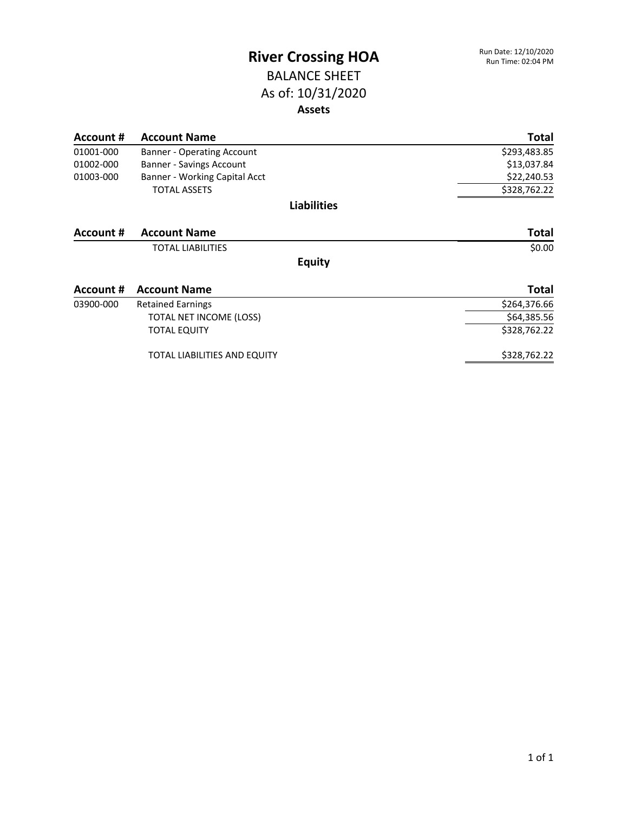### BALANCE SHEET As of: 10/31/2020 **Assets**

| Account # | <b>Account Name</b>               | <b>Total</b> |
|-----------|-----------------------------------|--------------|
| 01001-000 | <b>Banner - Operating Account</b> | \$293,483.85 |
| 01002-000 | Banner - Savings Account          | \$13,037.84  |
| 01003-000 | Banner - Working Capital Acct     | \$22,240.53  |
|           | <b>TOTAL ASSETS</b>               | \$328,762.22 |
|           | <b>Liabilities</b>                |              |
| Account # | <b>Account Name</b>               | <b>Total</b> |
|           | <b>TOTAL LIABILITIES</b>          | \$0.00       |
|           | <b>Equity</b>                     |              |
| Account # | <b>Account Name</b>               | <b>Total</b> |
| 03900-000 | <b>Retained Earnings</b>          | \$264,376.66 |
|           | TOTAL NET INCOME (LOSS)           | \$64,385.56  |
|           | <b>TOTAL EQUITY</b>               | \$328,762.22 |
|           | TOTAL LIABILITIES AND EQUITY      | \$328,762.22 |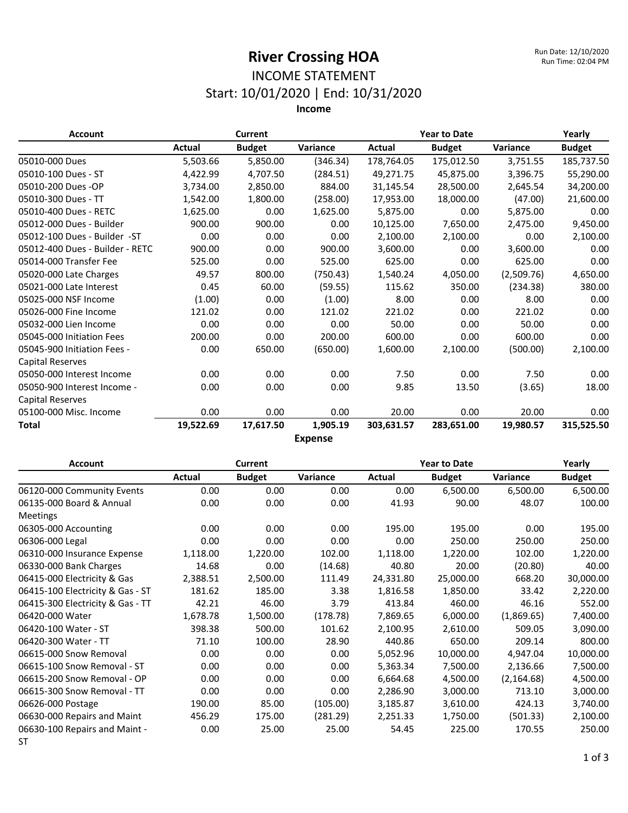### INCOME STATEMENT Start: 10/01/2020 | End: 10/31/2020

**Income**

| <b>Account</b>                  |               | <b>Current</b> |                      |            | <b>Year to Date</b> |            | Yearly        |
|---------------------------------|---------------|----------------|----------------------|------------|---------------------|------------|---------------|
|                                 | <b>Actual</b> | <b>Budget</b>  | Variance             | Actual     | <b>Budget</b>       | Variance   | <b>Budget</b> |
| 05010-000 Dues                  | 5,503.66      | 5,850.00       | (346.34)             | 178,764.05 | 175,012.50          | 3,751.55   | 185,737.50    |
| 05010-100 Dues - ST             | 4,422.99      | 4,707.50       | (284.51)             | 49,271.75  | 45,875.00           | 3,396.75   | 55,290.00     |
| 05010-200 Dues -OP              | 3,734.00      | 2,850.00       | 884.00               | 31,145.54  | 28,500.00           | 2,645.54   | 34,200.00     |
| 05010-300 Dues - TT             | 1,542.00      | 1,800.00       | (258.00)             | 17,953.00  | 18,000.00           | (47.00)    | 21,600.00     |
| 05010-400 Dues - RETC           | 1,625.00      | 0.00           | 1,625.00             | 5,875.00   | 0.00                | 5,875.00   | 0.00          |
| 05012-000 Dues - Builder        | 900.00        | 900.00         | 0.00                 | 10,125.00  | 7,650.00            | 2,475.00   | 9,450.00      |
| 05012-100 Dues - Builder -ST    | 0.00          | 0.00           | 0.00                 | 2,100.00   | 2,100.00            | 0.00       | 2,100.00      |
| 05012-400 Dues - Builder - RETC | 900.00        | 0.00           | 900.00               | 3,600.00   | 0.00                | 3,600.00   | 0.00          |
| 05014-000 Transfer Fee          | 525.00        | 0.00           | 525.00               | 625.00     | 0.00                | 625.00     | 0.00          |
| 05020-000 Late Charges          | 49.57         | 800.00         | (750.43)             | 1,540.24   | 4,050.00            | (2,509.76) | 4,650.00      |
| 05021-000 Late Interest         | 0.45          | 60.00          | (59.55)              | 115.62     | 350.00              | (234.38)   | 380.00        |
| 05025-000 NSF Income            | (1.00)        | 0.00           | (1.00)               | 8.00       | 0.00                | 8.00       | 0.00          |
| 05026-000 Fine Income           | 121.02        | 0.00           | 121.02               | 221.02     | 0.00                | 221.02     | 0.00          |
| 05032-000 Lien Income           | 0.00          | 0.00           | 0.00                 | 50.00      | 0.00                | 50.00      | 0.00          |
| 05045-000 Initiation Fees       | 200.00        | 0.00           | 200.00               | 600.00     | 0.00                | 600.00     | 0.00          |
| 05045-900 Initiation Fees -     | 0.00          | 650.00         | (650.00)             | 1,600.00   | 2,100.00            | (500.00)   | 2,100.00      |
| <b>Capital Reserves</b>         |               |                |                      |            |                     |            |               |
| 05050-000 Interest Income       | 0.00          | 0.00           | 0.00                 | 7.50       | 0.00                | 7.50       | 0.00          |
| 05050-900 Interest Income -     | 0.00          | 0.00           | 0.00                 | 9.85       | 13.50               | (3.65)     | 18.00         |
| Capital Reserves                |               |                |                      |            |                     |            |               |
| 05100-000 Misc. Income          | 0.00          | 0.00           | 0.00                 | 20.00      | 0.00                | 20.00      | 0.00          |
| Total                           | 19,522.69     | 17,617.50      | 1,905.19<br><b>E</b> | 303,631.57 | 283,651.00          | 19,980.57  | 315,525.50    |

**Expense**

| <b>Account</b>                   |          | <b>Current</b> |          | <b>Year to Date</b> |               |             | Yearly        |
|----------------------------------|----------|----------------|----------|---------------------|---------------|-------------|---------------|
|                                  | Actual   | <b>Budget</b>  | Variance | Actual              | <b>Budget</b> | Variance    | <b>Budget</b> |
| 06120-000 Community Events       | 0.00     | 0.00           | 0.00     | 0.00                | 6,500.00      | 6,500.00    | 6,500.00      |
| 06135-000 Board & Annual         | 0.00     | 0.00           | 0.00     | 41.93               | 90.00         | 48.07       | 100.00        |
| <b>Meetings</b>                  |          |                |          |                     |               |             |               |
| 06305-000 Accounting             | 0.00     | 0.00           | 0.00     | 195.00              | 195.00        | 0.00        | 195.00        |
| 06306-000 Legal                  | 0.00     | 0.00           | 0.00     | 0.00                | 250.00        | 250.00      | 250.00        |
| 06310-000 Insurance Expense      | 1,118.00 | 1,220.00       | 102.00   | 1,118.00            | 1,220.00      | 102.00      | 1,220.00      |
| 06330-000 Bank Charges           | 14.68    | 0.00           | (14.68)  | 40.80               | 20.00         | (20.80)     | 40.00         |
| 06415-000 Electricity & Gas      | 2,388.51 | 2,500.00       | 111.49   | 24,331.80           | 25,000.00     | 668.20      | 30,000.00     |
| 06415-100 Electricity & Gas - ST | 181.62   | 185.00         | 3.38     | 1,816.58            | 1,850.00      | 33.42       | 2,220.00      |
| 06415-300 Electricity & Gas - TT | 42.21    | 46.00          | 3.79     | 413.84              | 460.00        | 46.16       | 552.00        |
| 06420-000 Water                  | 1,678.78 | 1,500.00       | (178.78) | 7,869.65            | 6,000.00      | (1,869.65)  | 7,400.00      |
| 06420-100 Water - ST             | 398.38   | 500.00         | 101.62   | 2,100.95            | 2,610.00      | 509.05      | 3,090.00      |
| 06420-300 Water - TT             | 71.10    | 100.00         | 28.90    | 440.86              | 650.00        | 209.14      | 800.00        |
| 06615-000 Snow Removal           | 0.00     | 0.00           | 0.00     | 5,052.96            | 10,000.00     | 4,947.04    | 10,000.00     |
| 06615-100 Snow Removal - ST      | 0.00     | 0.00           | 0.00     | 5,363.34            | 7,500.00      | 2,136.66    | 7,500.00      |
| 06615-200 Snow Removal - OP      | 0.00     | 0.00           | 0.00     | 6,664.68            | 4,500.00      | (2, 164.68) | 4,500.00      |
| 06615-300 Snow Removal - TT      | 0.00     | 0.00           | 0.00     | 2,286.90            | 3,000.00      | 713.10      | 3,000.00      |
| 06626-000 Postage                | 190.00   | 85.00          | (105.00) | 3,185.87            | 3,610.00      | 424.13      | 3,740.00      |
| 06630-000 Repairs and Maint      | 456.29   | 175.00         | (281.29) | 2,251.33            | 1,750.00      | (501.33)    | 2,100.00      |
| 06630-100 Repairs and Maint -    | 0.00     | 25.00          | 25.00    | 54.45               | 225.00        | 170.55      | 250.00        |
| <b>ST</b>                        |          |                |          |                     |               |             |               |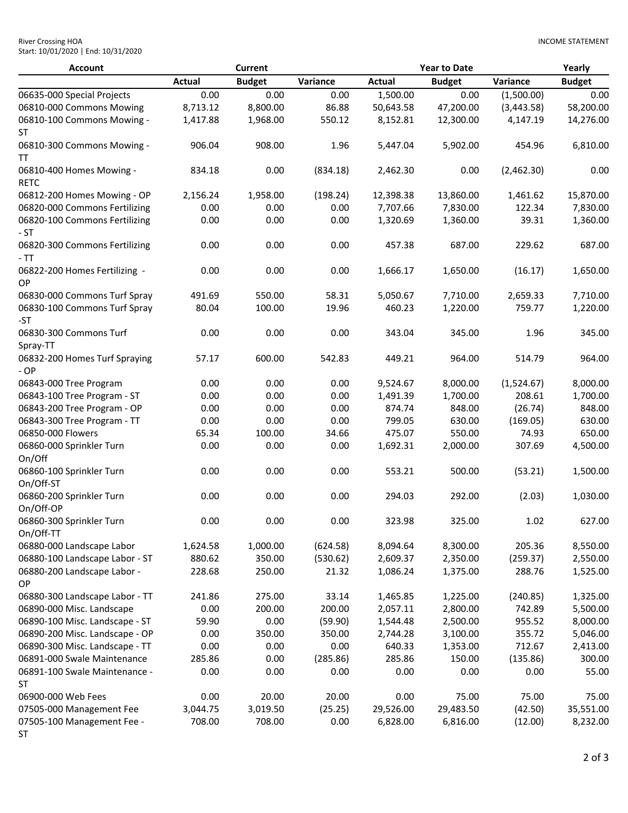| <b>River Crossing HOA</b>           |  |
|-------------------------------------|--|
| Start: 10/01/2020   End: 10/31/2020 |  |

| <b>Account</b>                             |               | <b>Current</b> |          |               | <b>Year to Date</b> |            | Yearly        |
|--------------------------------------------|---------------|----------------|----------|---------------|---------------------|------------|---------------|
|                                            | <b>Actual</b> | <b>Budget</b>  | Variance | <b>Actual</b> | <b>Budget</b>       | Variance   | <b>Budget</b> |
| 06635-000 Special Projects                 | 0.00          | 0.00           | 0.00     | 1,500.00      | 0.00                | (1,500.00) | 0.00          |
| 06810-000 Commons Mowing                   | 8,713.12      | 8,800.00       | 86.88    | 50,643.58     | 47,200.00           | (3,443.58) | 58,200.00     |
| 06810-100 Commons Mowing -<br>ST           | 1,417.88      | 1,968.00       | 550.12   | 8,152.81      | 12,300.00           | 4,147.19   | 14,276.00     |
| 06810-300 Commons Mowing -<br>TΤ           | 906.04        | 908.00         | 1.96     | 5,447.04      | 5,902.00            | 454.96     | 6,810.00      |
| 06810-400 Homes Mowing -<br><b>RETC</b>    | 834.18        | 0.00           | (834.18) | 2,462.30      | 0.00                | (2,462.30) | 0.00          |
| 06812-200 Homes Mowing - OP                | 2,156.24      | 1,958.00       | (198.24) | 12,398.38     | 13,860.00           | 1,461.62   | 15,870.00     |
| 06820-000 Commons Fertilizing              | 0.00          | 0.00           | 0.00     | 7,707.66      | 7,830.00            | 122.34     | 7,830.00      |
| 06820-100 Commons Fertilizing<br>- ST      | 0.00          | 0.00           | 0.00     | 1,320.69      | 1,360.00            | 39.31      | 1,360.00      |
| 06820-300 Commons Fertilizing<br>- TT      | 0.00          | 0.00           | 0.00     | 457.38        | 687.00              | 229.62     | 687.00        |
| 06822-200 Homes Fertilizing -<br>OP        | 0.00          | 0.00           | 0.00     | 1,666.17      | 1,650.00            | (16.17)    | 1,650.00      |
| 06830-000 Commons Turf Spray               | 491.69        | 550.00         | 58.31    | 5,050.67      | 7,710.00            | 2,659.33   | 7,710.00      |
| 06830-100 Commons Turf Spray<br>-ST        | 80.04         | 100.00         | 19.96    | 460.23        | 1,220.00            | 759.77     | 1,220.00      |
| 06830-300 Commons Turf<br>Spray-TT         | 0.00          | 0.00           | 0.00     | 343.04        | 345.00              | 1.96       | 345.00        |
| 06832-200 Homes Turf Spraying<br>- OP      | 57.17         | 600.00         | 542.83   | 449.21        | 964.00              | 514.79     | 964.00        |
| 06843-000 Tree Program                     | 0.00          | 0.00           | 0.00     | 9,524.67      | 8,000.00            | (1,524.67) | 8,000.00      |
| 06843-100 Tree Program - ST                | 0.00          | 0.00           | 0.00     | 1,491.39      | 1,700.00            | 208.61     | 1,700.00      |
| 06843-200 Tree Program - OP                | 0.00          | 0.00           | 0.00     | 874.74        | 848.00              | (26.74)    | 848.00        |
| 06843-300 Tree Program - TT                | 0.00          | 0.00           | 0.00     | 799.05        | 630.00              | (169.05)   | 630.00        |
| 06850-000 Flowers                          | 65.34         | 100.00         | 34.66    | 475.07        | 550.00              | 74.93      | 650.00        |
| 06860-000 Sprinkler Turn<br>On/Off         | 0.00          | 0.00           | 0.00     | 1,692.31      | 2,000.00            | 307.69     | 4,500.00      |
| 06860-100 Sprinkler Turn<br>On/Off-ST      | 0.00          | 0.00           | 0.00     | 553.21        | 500.00              | (53.21)    | 1,500.00      |
| 06860-200 Sprinkler Turn<br>On/Off-OP      | 0.00          | 0.00           | 0.00     | 294.03        | 292.00              | (2.03)     | 1,030.00      |
| 06860-300 Sprinkler Turn<br>On/Off-TT      | 0.00          | 0.00           | 0.00     | 323.98        | 325.00              | $1.02\,$   | 627.00        |
| 06880-000 Landscape Labor                  | 1,624.58      | 1,000.00       | (624.58) | 8,094.64      | 8,300.00            | 205.36     | 8,550.00      |
| 06880-100 Landscape Labor - ST             | 880.62        | 350.00         | (530.62) | 2,609.37      | 2,350.00            | (259.37)   | 2,550.00      |
| 06880-200 Landscape Labor -<br>OP          | 228.68        | 250.00         | 21.32    | 1,086.24      | 1,375.00            | 288.76     | 1,525.00      |
| 06880-300 Landscape Labor - TT             | 241.86        | 275.00         | 33.14    | 1,465.85      | 1,225.00            | (240.85)   | 1,325.00      |
| 06890-000 Misc. Landscape                  | 0.00          | 200.00         | 200.00   | 2,057.11      | 2,800.00            | 742.89     | 5,500.00      |
| 06890-100 Misc. Landscape - ST             | 59.90         | 0.00           | (59.90)  | 1,544.48      | 2,500.00            | 955.52     | 8,000.00      |
| 06890-200 Misc. Landscape - OP             | 0.00          | 350.00         | 350.00   | 2,744.28      | 3,100.00            | 355.72     | 5,046.00      |
| 06890-300 Misc. Landscape - TT             | 0.00          | 0.00           | 0.00     | 640.33        | 1,353.00            | 712.67     | 2,413.00      |
| 06891-000 Swale Maintenance                | 285.86        | 0.00           | (285.86) | 285.86        | 150.00              | (135.86)   | 300.00        |
| 06891-100 Swale Maintenance -<br><b>ST</b> | 0.00          | 0.00           | 0.00     | 0.00          | 0.00                | 0.00       | 55.00         |
| 06900-000 Web Fees                         | 0.00          | 20.00          | 20.00    | 0.00          | 75.00               | 75.00      | 75.00         |
| 07505-000 Management Fee                   | 3,044.75      | 3,019.50       | (25.25)  | 29,526.00     | 29,483.50           | (42.50)    | 35,551.00     |
| 07505-100 Management Fee -<br><b>ST</b>    | 708.00        | 708.00         | 0.00     | 6,828.00      | 6,816.00            | (12.00)    | 8,232.00      |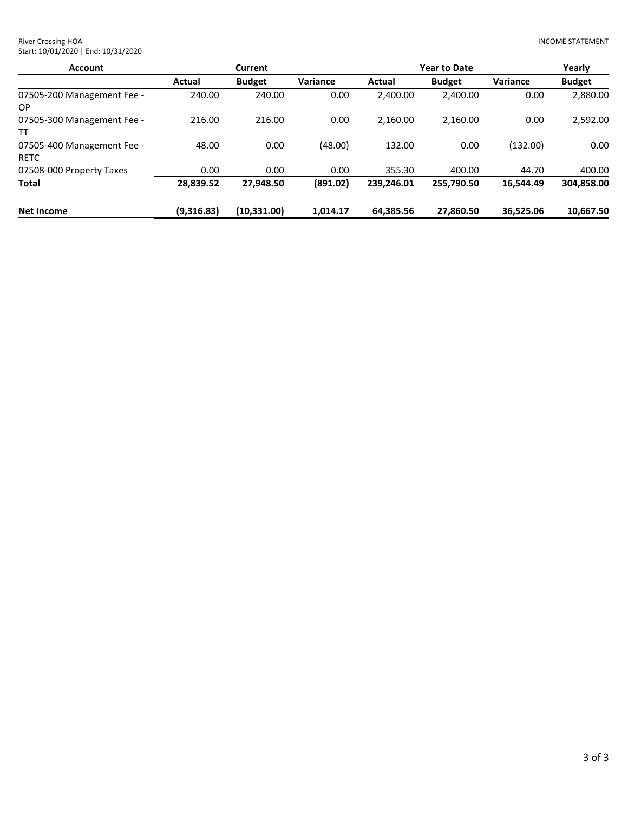| <b>Account</b>                     |            | <b>Current</b> |          |               | <b>Year to Date</b> |           | Yearly        |
|------------------------------------|------------|----------------|----------|---------------|---------------------|-----------|---------------|
|                                    | Actual     | <b>Budget</b>  | Variance | <b>Actual</b> | <b>Budget</b>       | Variance  | <b>Budget</b> |
| 07505-200 Management Fee -<br>ОP   | 240.00     | 240.00         | 0.00     | 2,400.00      | 2,400.00            | 0.00      | 2,880.00      |
| 07505-300 Management Fee -<br>тт   | 216.00     | 216.00         | 0.00     | 2,160.00      | 2.160.00            | 0.00      | 2,592.00      |
| 07505-400 Management Fee -<br>RETC | 48.00      | 0.00           | (48.00)  | 132.00        | 0.00                | (132.00)  | 0.00          |
| 07508-000 Property Taxes           | 0.00       | 0.00           | 0.00     | 355.30        | 400.00              | 44.70     | 400.00        |
| Total                              | 28,839.52  | 27.948.50      | (891.02) | 239.246.01    | 255.790.50          | 16.544.49 | 304,858.00    |
| Net Income                         | (9,316.83) | (10, 331.00)   | 1.014.17 | 64.385.56     | 27.860.50           | 36.525.06 | 10,667.50     |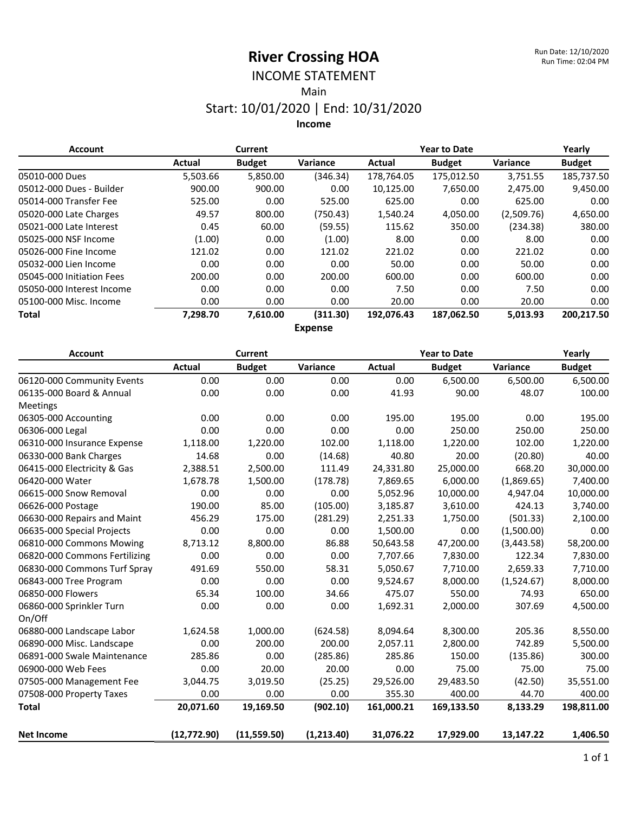#### INCOME STATEMENT Main

### Start: 10/01/2020 | End: 10/31/2020 **Income**

| <b>Account</b>            |          | <b>Current</b> |          | <b>Year to Date</b> |               |            | Yearly        |
|---------------------------|----------|----------------|----------|---------------------|---------------|------------|---------------|
|                           | Actual   | <b>Budget</b>  | Variance | Actual              | <b>Budget</b> | Variance   | <b>Budget</b> |
| 05010-000 Dues            | 5,503.66 | 5,850.00       | (346.34) | 178,764.05          | 175,012.50    | 3,751.55   | 185,737.50    |
| 05012-000 Dues - Builder  | 900.00   | 900.00         | 0.00     | 10,125.00           | 7,650.00      | 2,475.00   | 9,450.00      |
| 05014-000 Transfer Fee    | 525.00   | 0.00           | 525.00   | 625.00              | 0.00          | 625.00     | 0.00          |
| 05020-000 Late Charges    | 49.57    | 800.00         | (750.43) | 1,540.24            | 4,050.00      | (2,509.76) | 4,650.00      |
| 05021-000 Late Interest   | 0.45     | 60.00          | (59.55)  | 115.62              | 350.00        | (234.38)   | 380.00        |
| 05025-000 NSF Income      | (1.00)   | 0.00           | (1.00)   | 8.00                | 0.00          | 8.00       | 0.00          |
| 05026-000 Fine Income     | 121.02   | 0.00           | 121.02   | 221.02              | 0.00          | 221.02     | 0.00          |
| 05032-000 Lien Income     | 0.00     | 0.00           | 0.00     | 50.00               | 0.00          | 50.00      | 0.00          |
| 05045-000 Initiation Fees | 200.00   | 0.00           | 200.00   | 600.00              | 0.00          | 600.00     | 0.00          |
| 05050-000 Interest Income | 0.00     | 0.00           | 0.00     | 7.50                | 0.00          | 7.50       | 0.00          |
| 05100-000 Misc. Income    | 0.00     | 0.00           | 0.00     | 20.00               | 0.00          | 20.00      | 0.00          |
| Total                     | 7,298.70 | 7,610.00       | (311.30) | 192.076.43          | 187,062.50    | 5,013.93   | 200,217.50    |

**Expense**

| <b>Account</b>                |              | <b>Current</b> |            | <b>Year to Date</b> |               | Yearly     |               |
|-------------------------------|--------------|----------------|------------|---------------------|---------------|------------|---------------|
|                               | Actual       | <b>Budget</b>  | Variance   | <b>Actual</b>       | <b>Budget</b> | Variance   | <b>Budget</b> |
| 06120-000 Community Events    | 0.00         | 0.00           | 0.00       | 0.00                | 6,500.00      | 6,500.00   | 6,500.00      |
| 06135-000 Board & Annual      | 0.00         | 0.00           | 0.00       | 41.93               | 90.00         | 48.07      | 100.00        |
| Meetings                      |              |                |            |                     |               |            |               |
| 06305-000 Accounting          | 0.00         | 0.00           | 0.00       | 195.00              | 195.00        | 0.00       | 195.00        |
| 06306-000 Legal               | 0.00         | 0.00           | 0.00       | 0.00                | 250.00        | 250.00     | 250.00        |
| 06310-000 Insurance Expense   | 1,118.00     | 1,220.00       | 102.00     | 1,118.00            | 1,220.00      | 102.00     | 1,220.00      |
| 06330-000 Bank Charges        | 14.68        | 0.00           | (14.68)    | 40.80               | 20.00         | (20.80)    | 40.00         |
| 06415-000 Electricity & Gas   | 2,388.51     | 2,500.00       | 111.49     | 24,331.80           | 25,000.00     | 668.20     | 30,000.00     |
| 06420-000 Water               | 1,678.78     | 1,500.00       | (178.78)   | 7,869.65            | 6,000.00      | (1,869.65) | 7,400.00      |
| 06615-000 Snow Removal        | 0.00         | 0.00           | 0.00       | 5,052.96            | 10,000.00     | 4,947.04   | 10,000.00     |
| 06626-000 Postage             | 190.00       | 85.00          | (105.00)   | 3,185.87            | 3,610.00      | 424.13     | 3,740.00      |
| 06630-000 Repairs and Maint   | 456.29       | 175.00         | (281.29)   | 2,251.33            | 1,750.00      | (501.33)   | 2,100.00      |
| 06635-000 Special Projects    | 0.00         | 0.00           | 0.00       | 1,500.00            | 0.00          | (1,500.00) | 0.00          |
| 06810-000 Commons Mowing      | 8,713.12     | 8,800.00       | 86.88      | 50,643.58           | 47,200.00     | (3,443.58) | 58,200.00     |
| 06820-000 Commons Fertilizing | 0.00         | 0.00           | 0.00       | 7,707.66            | 7,830.00      | 122.34     | 7,830.00      |
| 06830-000 Commons Turf Spray  | 491.69       | 550.00         | 58.31      | 5,050.67            | 7,710.00      | 2,659.33   | 7,710.00      |
| 06843-000 Tree Program        | 0.00         | 0.00           | 0.00       | 9,524.67            | 8,000.00      | (1,524.67) | 8,000.00      |
| 06850-000 Flowers             | 65.34        | 100.00         | 34.66      | 475.07              | 550.00        | 74.93      | 650.00        |
| 06860-000 Sprinkler Turn      | 0.00         | 0.00           | 0.00       | 1,692.31            | 2,000.00      | 307.69     | 4,500.00      |
| On/Off                        |              |                |            |                     |               |            |               |
| 06880-000 Landscape Labor     | 1,624.58     | 1,000.00       | (624.58)   | 8,094.64            | 8,300.00      | 205.36     | 8,550.00      |
| 06890-000 Misc. Landscape     | 0.00         | 200.00         | 200.00     | 2,057.11            | 2,800.00      | 742.89     | 5,500.00      |
| 06891-000 Swale Maintenance   | 285.86       | 0.00           | (285.86)   | 285.86              | 150.00        | (135.86)   | 300.00        |
| 06900-000 Web Fees            | 0.00         | 20.00          | 20.00      | 0.00                | 75.00         | 75.00      | 75.00         |
| 07505-000 Management Fee      | 3,044.75     | 3,019.50       | (25.25)    | 29,526.00           | 29,483.50     | (42.50)    | 35,551.00     |
| 07508-000 Property Taxes      | 0.00         | 0.00           | 0.00       | 355.30              | 400.00        | 44.70      | 400.00        |
| <b>Total</b>                  | 20,071.60    | 19,169.50      | (902.10)   | 161,000.21          | 169,133.50    | 8,133.29   | 198,811.00    |
| <b>Net Income</b>             | (12, 772.90) | (11, 559.50)   | (1,213.40) | 31,076.22           | 17,929.00     | 13,147.22  | 1,406.50      |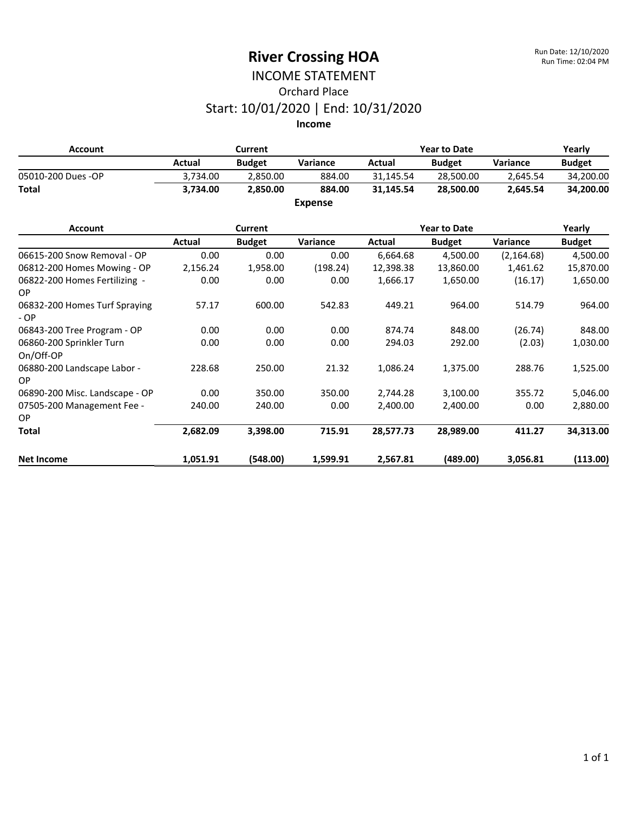#### INCOME STATEMENT Orchard Place Start: 10/01/2020 | End: 10/31/2020 **Income**

**Account Current Year to Date Yearly Actual Budget Variance Actual Budget Variance Budget** 05010-200 Dues -OP 3,734.00 2,850.00 884.00 31,145.54 28,500.00 2,645.54 34,200.00 **Total 3,734.00 2,850.00 884.00 31,145.54 28,500.00 2,645.54 34,200.00 Expense**

| <b>Account</b>                           |          | <b>Current</b> |          |           | <b>Year to Date</b> |             | Yearly        |
|------------------------------------------|----------|----------------|----------|-----------|---------------------|-------------|---------------|
|                                          | Actual   | <b>Budget</b>  | Variance | Actual    | <b>Budget</b>       | Variance    | <b>Budget</b> |
| 06615-200 Snow Removal - OP              | 0.00     | 0.00           | 0.00     | 6,664.68  | 4,500.00            | (2, 164.68) | 4,500.00      |
| 06812-200 Homes Mowing - OP              | 2,156.24 | 1,958.00       | (198.24) | 12,398.38 | 13,860.00           | 1,461.62    | 15,870.00     |
| 06822-200 Homes Fertilizing -<br>OP.     | 0.00     | 0.00           | 0.00     | 1,666.17  | 1,650.00            | (16.17)     | 1,650.00      |
| 06832-200 Homes Turf Spraying<br>$-OP$   | 57.17    | 600.00         | 542.83   | 449.21    | 964.00              | 514.79      | 964.00        |
| 06843-200 Tree Program - OP              | 0.00     | 0.00           | 0.00     | 874.74    | 848.00              | (26.74)     | 848.00        |
| 06860-200 Sprinkler Turn<br>On/Off-OP    | 0.00     | 0.00           | 0.00     | 294.03    | 292.00              | (2.03)      | 1,030.00      |
| 06880-200 Landscape Labor -<br><b>OP</b> | 228.68   | 250.00         | 21.32    | 1,086.24  | 1,375.00            | 288.76      | 1,525.00      |
| 06890-200 Misc. Landscape - OP           | 0.00     | 350.00         | 350.00   | 2,744.28  | 3,100.00            | 355.72      | 5,046.00      |
| 07505-200 Management Fee -<br>OP.        | 240.00   | 240.00         | 0.00     | 2,400.00  | 2,400.00            | 0.00        | 2,880.00      |
| <b>Total</b>                             | 2,682.09 | 3,398.00       | 715.91   | 28,577.73 | 28,989.00           | 411.27      | 34,313.00     |
| <b>Net Income</b>                        | 1,051.91 | (548.00)       | 1,599.91 | 2,567.81  | (489.00)            | 3,056.81    | (113.00)      |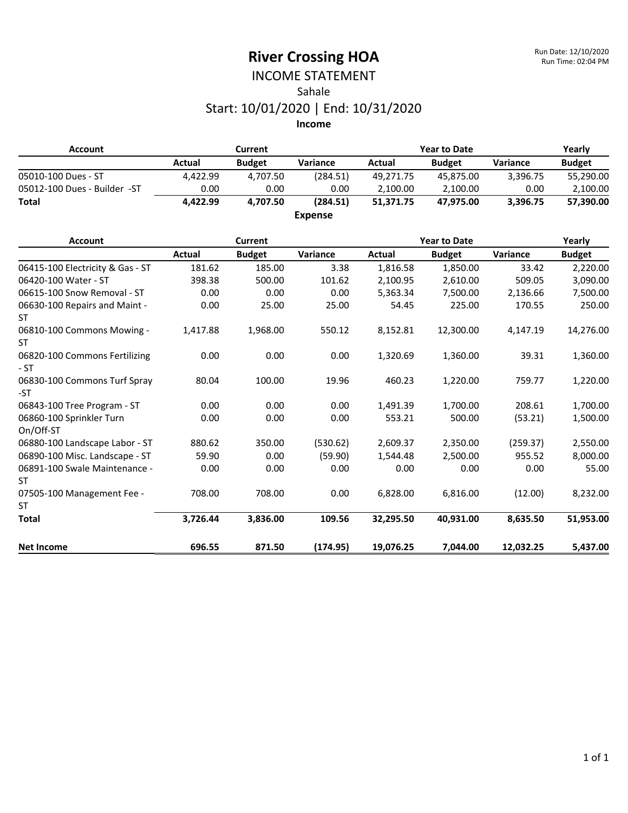### INCOME STATEMENT Sahale Start: 10/01/2020 | End: 10/31/2020

**Income**

| <b>Account</b>                             |               | <b>Current</b> |                |               | <b>Year to Date</b> |           | Yearly        |
|--------------------------------------------|---------------|----------------|----------------|---------------|---------------------|-----------|---------------|
|                                            | <b>Actual</b> | <b>Budget</b>  | Variance       | <b>Actual</b> | <b>Budget</b>       | Variance  | <b>Budget</b> |
| 05010-100 Dues - ST                        | 4,422.99      | 4,707.50       | (284.51)       | 49,271.75     | 45,875.00           | 3,396.75  | 55,290.00     |
| 05012-100 Dues - Builder -ST               | 0.00          | 0.00           | 0.00           | 2,100.00      | 2,100.00            | 0.00      | 2,100.00      |
| <b>Total</b>                               | 4,422.99      | 4,707.50       | (284.51)       | 51,371.75     | 47,975.00           | 3,396.75  | 57,390.00     |
|                                            |               |                | <b>Expense</b> |               |                     |           |               |
| <b>Account</b>                             |               | <b>Current</b> |                |               | <b>Year to Date</b> |           | Yearly        |
|                                            | <b>Actual</b> | <b>Budget</b>  | Variance       | Actual        | <b>Budget</b>       | Variance  | <b>Budget</b> |
| 06415-100 Electricity & Gas - ST           | 181.62        | 185.00         | 3.38           | 1,816.58      | 1,850.00            | 33.42     | 2,220.00      |
| 06420-100 Water - ST                       | 398.38        | 500.00         | 101.62         | 2,100.95      | 2,610.00            | 509.05    | 3,090.00      |
| 06615-100 Snow Removal - ST                | 0.00          | 0.00           | 0.00           | 5,363.34      | 7,500.00            | 2,136.66  | 7,500.00      |
| 06630-100 Repairs and Maint -<br>ST        | 0.00          | 25.00          | 25.00          | 54.45         | 225.00              | 170.55    | 250.00        |
| 06810-100 Commons Mowing -<br><b>ST</b>    | 1,417.88      | 1,968.00       | 550.12         | 8,152.81      | 12,300.00           | 4,147.19  | 14,276.00     |
| 06820-100 Commons Fertilizing<br>$-ST$     | 0.00          | 0.00           | 0.00           | 1,320.69      | 1,360.00            | 39.31     | 1,360.00      |
| 06830-100 Commons Turf Spray<br>-ST        | 80.04         | 100.00         | 19.96          | 460.23        | 1,220.00            | 759.77    | 1,220.00      |
| 06843-100 Tree Program - ST                | 0.00          | 0.00           | 0.00           | 1,491.39      | 1,700.00            | 208.61    | 1,700.00      |
| 06860-100 Sprinkler Turn<br>On/Off-ST      | 0.00          | 0.00           | 0.00           | 553.21        | 500.00              | (53.21)   | 1,500.00      |
| 06880-100 Landscape Labor - ST             | 880.62        | 350.00         | (530.62)       | 2,609.37      | 2,350.00            | (259.37)  | 2,550.00      |
| 06890-100 Misc. Landscape - ST             | 59.90         | 0.00           | (59.90)        | 1,544.48      | 2,500.00            | 955.52    | 8,000.00      |
| 06891-100 Swale Maintenance -<br><b>ST</b> | 0.00          | 0.00           | 0.00           | 0.00          | 0.00                | 0.00      | 55.00         |
| 07505-100 Management Fee -<br><b>ST</b>    | 708.00        | 708.00         | 0.00           | 6,828.00      | 6,816.00            | (12.00)   | 8,232.00      |
| <b>Total</b>                               | 3,726.44      | 3,836.00       | 109.56         | 32,295.50     | 40,931.00           | 8,635.50  | 51,953.00     |
| <b>Net Income</b>                          | 696.55        | 871.50         | (174.95)       | 19,076.25     | 7,044.00            | 12,032.25 | 5,437.00      |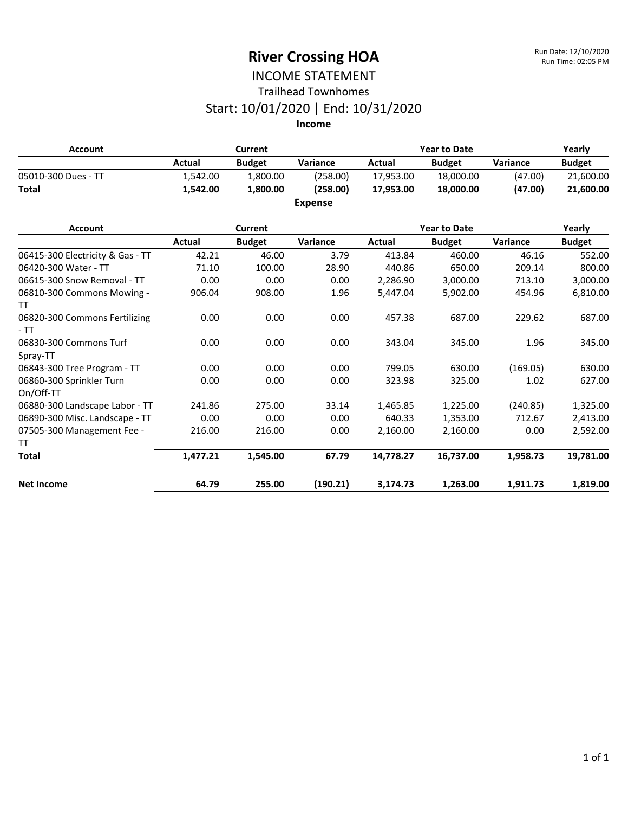#### INCOME STATEMENT Trailhead Townhomes

#### Start: 10/01/2020 | End: 10/31/2020

**Income**

| <b>Account</b>                        |          | <b>Current</b> |                 |           | <b>Year to Date</b> |          | Yearly<br><b>Budget</b><br>21,600.00<br>21,600.00 |  |
|---------------------------------------|----------|----------------|-----------------|-----------|---------------------|----------|---------------------------------------------------|--|
|                                       | Actual   | <b>Budget</b>  | Variance        | Actual    | <b>Budget</b>       | Variance |                                                   |  |
| 05010-300 Dues - TT                   | 1,542.00 | 1,800.00       | (258.00)        | 17,953.00 | 18,000.00           | (47.00)  |                                                   |  |
| <b>Total</b>                          | 1,542.00 | 1,800.00       | (258.00)        | 17,953.00 | 18,000.00           | (47.00)  |                                                   |  |
|                                       |          |                | <b>Expense</b>  |           |                     |          |                                                   |  |
| <b>Account</b>                        |          | Current        |                 |           | <b>Year to Date</b> |          | Yearly                                            |  |
|                                       | Actual   | <b>Budget</b>  | <b>Variance</b> | Actual    | <b>Budget</b>       | Variance | <b>Budget</b>                                     |  |
| 06415-300 Electricity & Gas - TT      | 42.21    | 46.00          | 3.79            | 413.84    | 460.00              | 46.16    | 552.00                                            |  |
| 06420-300 Water - TT                  | 71.10    | 100.00         | 28.90           | 440.86    | 650.00              | 209.14   | 800.00                                            |  |
| 06615-300 Snow Removal - TT           | 0.00     | 0.00           | 0.00            | 2,286.90  | 3,000.00            | 713.10   | 3,000.00                                          |  |
| 06810-300 Commons Mowing -<br>TT.     | 906.04   | 908.00         | 1.96            | 5,447.04  | 5,902.00            | 454.96   | 6,810.00                                          |  |
| 06820-300 Commons Fertilizing<br>- TT | 0.00     | 0.00           | 0.00            | 457.38    | 687.00              | 229.62   | 687.00                                            |  |
| 06830-300 Commons Turf<br>Spray-TT    | 0.00     | 0.00           | 0.00            | 343.04    | 345.00              | 1.96     | 345.00                                            |  |

06843-300 Tree Program - TT  $0.00$  0.00 0.00 0.00 799.05 630.00 (169.05) 630.00

06880-300 Landscape Labor - TT 241.86 275.00 33.14 1,465.85 1,225.00 (240.85) 1,325.00 06890-300 Misc. Landscape - TT  $0.00$  0.00 0.00 0.00 640.33 1,353.00 712.67 2,413.00

**Total 1,477.21 1,545.00 67.79 14,778.27 16,737.00 1,958.73 19,781.00**

**Net Income 64.79 255.00 (190.21) 3,174.73 1,263.00 1,911.73 1,819.00**

0.00 0.00 0.00 323.98 325.00 1.02 627.00

216.00 216.00 0.00 2,160.00 2,160.00 0.00 2,592.00

06860-300 Sprinkler Turn

07505-300 Management Fee -

On/Off-TT

TT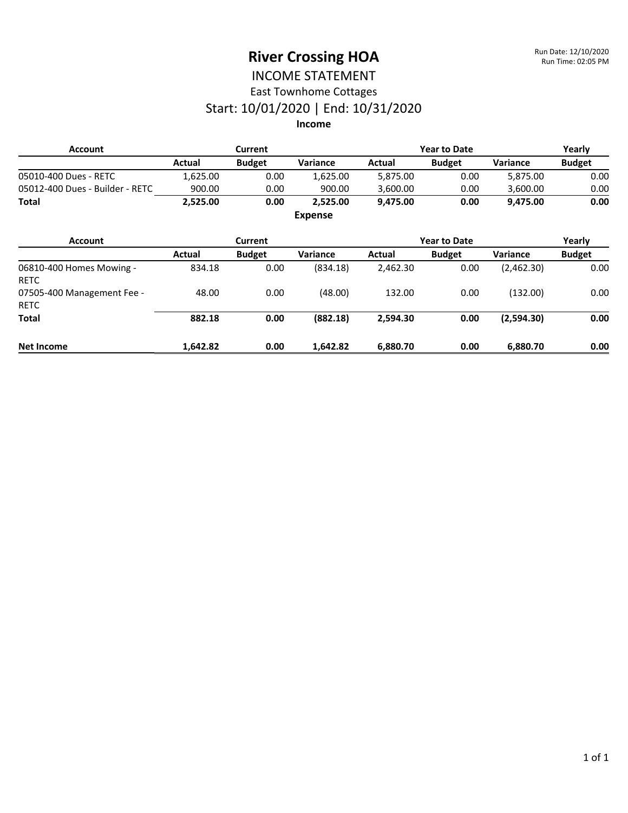#### INCOME STATEMENT East Townhome Cottages

### Start: 10/01/2020 | End: 10/31/2020

#### **Income**

| <b>Account</b>                            |          | Current        |                |          | <b>Year to Date</b> |                 | Yearly        |
|-------------------------------------------|----------|----------------|----------------|----------|---------------------|-----------------|---------------|
|                                           | Actual   | <b>Budget</b>  | Variance       | Actual   | <b>Budget</b>       | <b>Variance</b> | <b>Budget</b> |
| 05010-400 Dues - RETC                     | 1,625.00 | 0.00           | 1,625.00       | 5,875.00 | 0.00                | 5,875.00        | 0.00          |
| 05012-400 Dues - Builder - RETC           | 900.00   | 0.00           | 900.00         | 3,600.00 | 0.00                | 3,600.00        | 0.00          |
| <b>Total</b>                              | 2,525.00 | 0.00           | 2,525.00       | 9,475.00 | 0.00                | 9,475.00        | 0.00          |
|                                           |          |                | <b>Expense</b> |          |                     |                 |               |
| <b>Account</b>                            |          | <b>Current</b> |                |          | <b>Year to Date</b> |                 | Yearly        |
|                                           | Actual   | <b>Budget</b>  | Variance       | Actual   | <b>Budget</b>       | <b>Variance</b> | <b>Budget</b> |
| 06810-400 Homes Mowing -<br><b>RETC</b>   | 834.18   | 0.00           | (834.18)       | 2,462.30 | 0.00                | (2,462.30)      | 0.00          |
| 07505-400 Management Fee -<br><b>RETC</b> | 48.00    | 0.00           | (48.00)        | 132.00   | 0.00                | (132.00)        | 0.00          |
| Total                                     | 882.18   | 0.00           | (882.18)       | 2,594.30 | 0.00                | (2,594.30)      | 0.00          |
| Net Income                                | 1,642.82 | 0.00           | 1,642.82       | 6,880.70 | 0.00                | 6,880.70        | 0.00          |